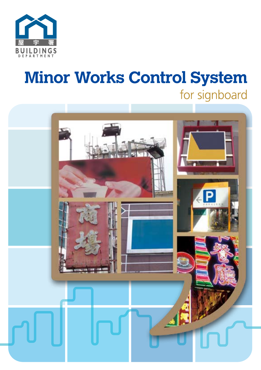

# **Minor Works Control System** for signboard

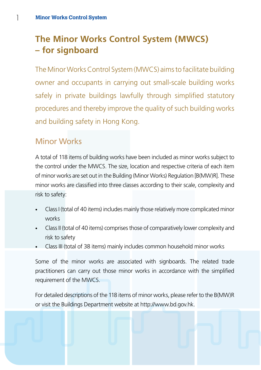1

# **The Minor Works Control System (MWCS) – for signboard**

The Minor Works Control System (MWCS) aims to facilitate building owner and occupants in carrying out small-scale building works safely in private buildings lawfully through simplified statutory procedures and thereby improve the quality of such building works and building safety in Hong Kong.

### Minor Works

A total of 118 items of building works have been included as minor works subject to the control under the MWCS. The size, location and respective criteria of each item of minor works are set out in the Building (Minor Works) Regulation [B(MW)R]. These minor works are classified into three classes according to their scale, complexity and risk to safety:

- Class I (total of 40 items) includes mainly those relatively more complicated minor works
- Class II (total of 40 items) comprises those of comparatively lower complexity and risk to safety
- Class III (total of 38 items) mainly includes common household minor works

Some of the minor works are associated with signboards. The related trade practitioners can carry out those minor works in accordance with the simplified requirement of the MWCS.

For detailed descriptions of the 118 items of minor works, please refer to the B(MW)R or visit the Buildings Department website at http://www.bd.gov.hk.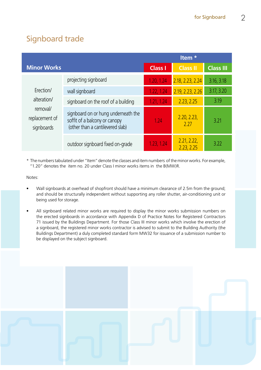# Signboard trade

|                                                                      |                                                                                                          | Item <sup>*</sup> |                           |                  |  |  |  |  |  |
|----------------------------------------------------------------------|----------------------------------------------------------------------------------------------------------|-------------------|---------------------------|------------------|--|--|--|--|--|
| <b>Minor Works</b>                                                   |                                                                                                          | <b>Class I</b>    | <b>Class II</b>           | <b>Class III</b> |  |  |  |  |  |
|                                                                      | projecting signboard                                                                                     | 1.20, 1.24        | 2.18, 2.23, 2.24          | 3.16, 3.18       |  |  |  |  |  |
| Erection/<br>alteration/<br>removal/<br>replacement of<br>signboards | wall signboard                                                                                           | 1.22, 1.24        | 2.19, 2.23, 2.26          | 3.17, 3.20       |  |  |  |  |  |
|                                                                      | signboard on the roof of a building                                                                      | 1.21, 1.24        | 2.23, 2.25                | 3.19             |  |  |  |  |  |
|                                                                      | signboard on or hung underneath the<br>soffit of a balcony or canopy<br>(other than a cantilevered slab) | 1.24              | 2.20, 2.23,<br>2.27       | 3.21             |  |  |  |  |  |
|                                                                      | outdoor signboard fixed on-grade                                                                         | 1.23, 1.24        | 2.21, 2.22,<br>2.23, 2.25 | 3.22             |  |  |  |  |  |

\* The numbers tabulated under "Item" denote the classes and item numbers of the minor works. For example, "1.20" denotes the item no. 20 under Class I minor works items in the B(MW)R.

Notes:

- Wall signboards at overhead of shopfront should have a minimum clearance of 2.5m from the ground; and should be structurally independent without supporting any roller shutter, air-conditioning unit or being used for storage.
- All signboard related minor works are required to display the minor works submission numbers on the erected signboards in accordance with Appendix D of Practice Notes for Registered Contractors 71 issued by the Buildings Department. For those Class III minor works which involve the erection of a signboard, the registered minor works contractor is advised to submit to the Building Authority (the Buildings Department) a duly completed standard form MW32 for issuance of a submission number to be displayed on the subject signboard.

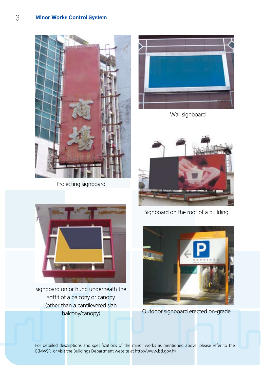

Projecting signboard



Wall signboard







For detailed descriptions and specifications of the minor works as mentioned above, please refer to the B(MW)R or visit the Buildings Department website at http://www.bd.gov.hk.



signboard on or hung underneath the soffit of a balcony or canopy (other than a cantilevered slab balcony/canopy) Outdoor signboard erected on-grade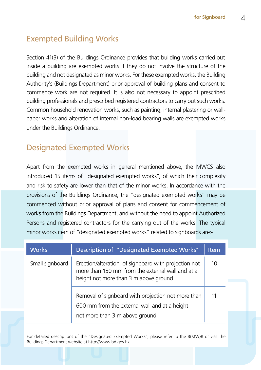# Exempted Building Works

Section 41(3) of the Buildings Ordinance provides that building works carried out inside a building are exempted works if they do not involve the structure of the building and not designated as minor works. For these exempted works, the Building Authority's (Buildings Department) prior approval of building plans and consent to commence work are not required. It is also not necessary to appoint prescribed building professionals and prescribed registered contractors to carry out such works. Common household renovation works, such as painting, internal plastering or wallpaper works and alteration of internal non-load bearing walls are exempted works under the Buildings Ordinance.

# Designated Exempted Works

Apart from the exempted works in general mentioned above, the MWCS also introduced 15 items of "designated exempted works", of which their complexity and risk to safety are lower than that of the minor works. In accordance with the provisions of the Buildings Ordinance, the "designated exempted works" may be commenced without prior approval of plans and consent for commencement of works from the Buildings Department, and without the need to appoint Authorized Persons and registered contractors for the carrying out of the works. The typical minor works item of "designated exempted works" related to signboards are:-

| <b>Works</b>    | Description of "Designated Exempted Works"                                                                                                        | <b>Item</b> |
|-----------------|---------------------------------------------------------------------------------------------------------------------------------------------------|-------------|
| Small signboard | Erection/alteration of signboard with projection not<br>more than 150 mm from the external wall and at a<br>height not more than 3 m above ground | 10          |
|                 | Removal of signboard with projection not more than<br>600 mm from the external wall and at a height<br>not more than 3 m above ground             |             |

For detailed descriptions of the "Designated Exempted Works", please refer to the B(MW)R or visit the Buildings Department website at http://www.bd.gov.hk.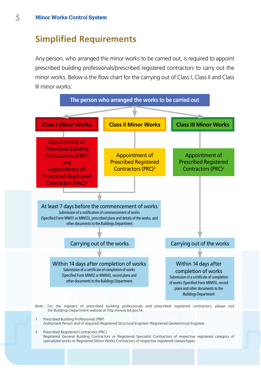# **Simplified Requirements**

Any person, who arranged the minor works to be carried out, is required to appoint prescribed building professionals/prescribed registered contractors to carry out the minor works. Below is the flow chart for the carrying out of Class I, Class II and Class III minor works:

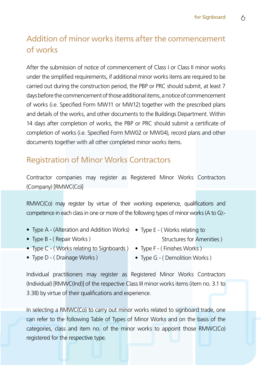# Addition of minor works items after the commencement of works

After the submission of notice of commencement of Class I or Class II minor works under the simplified requirements, if additional minor works items are required to be carried out during the construction period, the PBP or PRC should submit, at least 7 days before the commencement of those additional items, a notice of commencement of works (i.e. Specified Form MW11 or MW12) together with the prescribed plans and details of the works, and other documents to the Buildings Department. Within 14 days after completion of works, the PBP or PRC should submit a certificate of completion of works (i.e. Specified Form MW02 or MW04), record plans and other documents together with all other completed minor works items.

# Registration of Minor Works Contractors

Contractor companies may register as Registered Minor Works Contractors (Company) [RMWC(Co)]

RMWC(Co) may register by virtue of their working experience, qualifications and competence in each class in one or more of the following types of minor works (A to G):-

- Type A (Alteration and Addition Works) Type E ( Works relating to
- Type B ( Repair Works ) Type B ( Repair Works )
- Type C (Works relating to Signboards) Type F (Finishes Works)
- 
- 
- Type D (Drainage Works) Type G (Demolition Works)

Individual practitioners may register as Registered Minor Works Contractors (Individual) [RMWC(Ind)] of the respective Class III minor works items (item no. 3.1 to 3.38) by virtue of their qualifications and experience.

In selecting a RMWC(Co) to carry out minor works related to signboard trade, one can refer to the following Table of Types of Minor Works and on the basis of the categories, class and item no. of the minor works to appoint those RMWC(Co) registered for the respective type.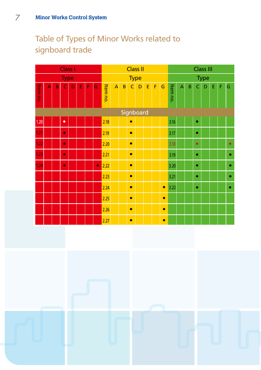# Table of Types of Minor Works related to signboard trade

|             | <b>Class I</b> |   |           |   |   |   |           |          |                | <b>Class II</b> |           |           |   |   | <b>Class III</b> |          |   |   |           |   |   |   |           |
|-------------|----------------|---|-----------|---|---|---|-----------|----------|----------------|-----------------|-----------|-----------|---|---|------------------|----------|---|---|-----------|---|---|---|-----------|
| <b>Type</b> |                |   |           |   |   |   |           |          | <b>Type</b>    |                 |           |           |   |   | Type             |          |   |   |           |   |   |   |           |
| Item no.    | A              | B | Ċ         | D | E | F | Ġ         | Item no. | $\overline{A}$ | B               | Ċ         | D         | E | F | Ġ                | Item no. | A | B | Ċ         | D | E | F | Ġ         |
|             |                |   |           |   |   |   |           |          |                |                 |           | Signboard |   |   |                  |          |   |   |           |   |   |   |           |
| 1.20        |                |   | $\bullet$ |   |   |   |           | 2.18     |                |                 | $\bullet$ |           |   |   |                  | 3.16     |   |   | $\bullet$ |   |   |   |           |
| 1.21        |                |   | $\bullet$ |   |   |   |           | 2.19     |                |                 | $\bullet$ |           |   |   |                  | 3.17     |   |   | ٠         |   |   |   |           |
| 1.22        |                |   | $\bullet$ |   |   |   |           | 2.20     |                |                 | $\bullet$ |           |   |   |                  | 3.18     |   |   | $\bullet$ |   |   |   | $\bullet$ |
| 1.23        |                |   | $\bullet$ |   |   |   |           | 2.21     |                |                 | $\bullet$ |           |   |   |                  | 3.19     |   |   | $\bullet$ |   |   |   | $\bullet$ |
| 1.24        |                |   | $\bullet$ |   |   |   | $\bullet$ | 2.22     |                |                 | $\bullet$ |           |   |   |                  | 3.20     |   |   | $\bullet$ |   |   |   | $\bullet$ |
|             |                |   |           |   |   |   |           | 2.23     |                |                 | $\bullet$ |           |   |   |                  | 3.21     |   |   | $\bullet$ |   |   |   | ۰         |
|             |                |   |           |   |   |   |           | 2.24     |                |                 | $\bullet$ |           |   |   | $\bullet$        | 3.22     |   |   | $\bullet$ |   |   |   | ۰         |
|             |                |   |           |   |   |   |           | 2.25     |                |                 | $\bullet$ |           |   |   | $\bullet$        |          |   |   |           |   |   |   |           |
|             |                |   |           |   |   |   |           | 2.26     |                |                 | $\bullet$ |           |   |   | $\bullet$        |          |   |   |           |   |   |   |           |
|             |                |   |           |   |   |   |           | 2.27     |                |                 | $\bullet$ |           |   |   | $\bullet$        |          |   |   |           |   |   |   |           |

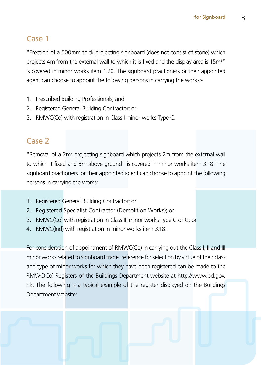# Case 1

"Erection of a 500mm thick projecting signboard (does not consist of stone) which projects 4m from the external wall to which it is fixed and the display area is 15m<sup>2</sup>" is covered in minor works item 1.20. The signboard practioners or their appointed agent can choose to appoint the following persons in carrying the works:-

- 1. Prescribed Building Professionals; and
- 2. Registered General Building Contractor; or
- 3. RMWC(Co) with registration in Class I minor works Type C.

# Case 2

"Removal of a 2m<sup>2</sup> projecting signboard which projects 2m from the external wall to which it fixed and 5m above ground" is covered in minor works item 3.18. The signboard practioners or their appointed agent can choose to appoint the following persons in carrying the works:

- 1. Registered General Building Contractor; or
- 2. Registered Specialist Contractor (Demolition Works); or
- 3. RMWC(Co) with registration in Class III minor works Type C or G; or
- 4. RMWC(Ind) with registration in minor works item 3.18.

For consideration of appointment of RMWC(Co) in carrying out the Class I, II and III minor works related to signboard trade, reference for selection by virtue of their class and type of minor works for which they have been registered can be made to the RMWC(Co) Registers of the Buildings Department website at http://www.bd.gov. hk. The following is a typical example of the register displayed on the Buildings Department website: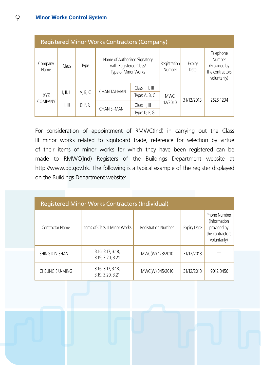| <b>Registered Minor Works Contractors (Company)</b> |                           |         |                                                                               |                                       |                        |                |                                                                        |  |  |  |
|-----------------------------------------------------|---------------------------|---------|-------------------------------------------------------------------------------|---------------------------------------|------------------------|----------------|------------------------------------------------------------------------|--|--|--|
| Company<br>Name                                     | Class                     | Type    | Name of Authorized Signatory<br>with Registered Class/<br>Type of Minor Works |                                       | Registration<br>Number | Expiry<br>Date | Telephone<br>Number<br>(Provided by<br>the contractors<br>voluntarily) |  |  |  |
|                                                     |                           | A, B, C | CHAN TAI-MAN                                                                  | Class: I, II, III                     |                        | 31/12/2013     |                                                                        |  |  |  |
| <b>XYZ</b>                                          | I, II, III                |         |                                                                               | Type: $A$ , $B$ , $C$                 | MWC.                   |                |                                                                        |  |  |  |
| <b>COMPANY</b>                                      | $\parallel$ , $\parallel$ | D, F, G |                                                                               | Class: II, III                        | 12/2010                |                | 2625 1234                                                              |  |  |  |
|                                                     |                           |         |                                                                               | <b>CHAN SI-MAN</b><br>Type: $D, F, G$ |                        |                |                                                                        |  |  |  |

For consideration of appointment of RMWC(Ind) in carrying out the Class III minor works related to signboard trade, reference for selection by virtue of their items of minor works for which they have been registered can be made to RMWC(Ind) Registers of the Buildings Department website at http://www.bd.gov.hk. The following is a typical example of the register displayed on the Buildings Department website:

| <b>Registered Minor Works Contractors (Individual)</b> |                                       |                            |                    |                                                                                |  |  |  |  |  |  |
|--------------------------------------------------------|---------------------------------------|----------------------------|--------------------|--------------------------------------------------------------------------------|--|--|--|--|--|--|
| Contractor Name                                        | Items of Class III Minor Works        | <b>Registration Number</b> | <b>Expiry Date</b> | Phone Number<br>(Information<br>provided by<br>the contractors<br>voluntarily) |  |  |  |  |  |  |
| SHING KIN-SHAN                                         | 3.16, 3.17, 3.18,<br>3.19, 3.20, 3.21 | MWC(W) 123/2010            | 31/12/2013         |                                                                                |  |  |  |  |  |  |
| CHEUNG SIU-MING                                        | 3.16, 3.17, 3.18,<br>3.19, 3.20, 3.21 | MWC(W) 345/2010            | 31/12/2013         | 9012 3456                                                                      |  |  |  |  |  |  |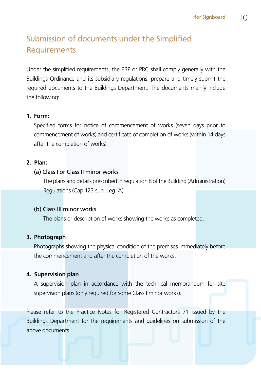# Submission of documents under the Simplified **Requirements**

Under the simplified requirements, the PBP or PRC shall comply generally with the Buildings Ordinance and its subsidiary regulations, prepare and timely submit the required documents to the Buildings Department. The documents mainly include the following:

#### **1. Form:**

Specified forms for notice of commencement of works (seven days prior to commencement of works) and certificate of completion of works (within 14 days after the completion of works).

#### **2. Plan:**

#### (a) Class I or Class II minor works

The plans and details prescribed in regulation 8 of the Building (Administration) Regulations (Cap 123 sub. Leg. A).

#### (b) Class III minor works

The plans or description of works showing the works as completed.

#### **3. Photograph**

Photographs showing the physical condition of the premises immediately before the commencement and after the completion of the works.

#### **4. Supervision plan**

A supervision plan in accordance with the technical memorandum for site supervision plans (only required for some Class I minor works).

Please refer to the Practice Notes for Registered Contractors 71 issued by the Buildings Department for the requirements and guidelines on submission of the above documents.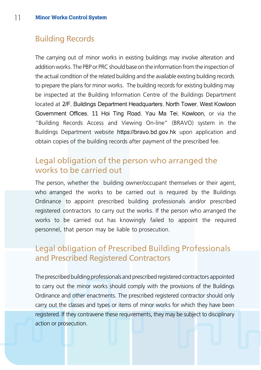### Building Records

The carrying out of minor works in existing buildings may involve alteration and addition works. The PBP or PRC should base on the information from the inspection of the actual condition of the related building and the available existing building records to prepare the plans for minor works. The building records for existing building may be inspected at the Building Information Centre of the Buildings Department located at 2/F, Buildings Department Headquarters, North Tower, West Kowloon Government Offices, 11 Hoi Ting Road, Yau Ma Tei, Kowloon, or via the "Building Records Access and Viewing On-line" (BRAVO) system in the Buildings Department website https://bravo.bd.gov.hk upon application and obtain copies of the building records after payment of the prescribed fee.

### Legal obligation of the person who arranged the works to be carried out

The person, whether the building owner/occupant themselves or their agent, who arranged the works to be carried out is required by the Buildings Ordinance to appoint prescribed building professionals and/or prescribed registered contractors to carry out the works. If the person who arranged the works to be carried out has knowingly failed to appoint the required personnel, that person may be liable to prosecution.

### Legal obligation of Prescribed Building Professionals and Prescribed Registered Contractors

The prescribed building professionals and prescribed registered contractors appointed to carry out the minor works should comply with the provisions of the Buildings Ordinance and other enactments. The prescribed registered contractor should only carry out the classes and types or items of minor works for which they have been registered. If they contravene these requirements, they may be subject to disciplinary action or prosecution.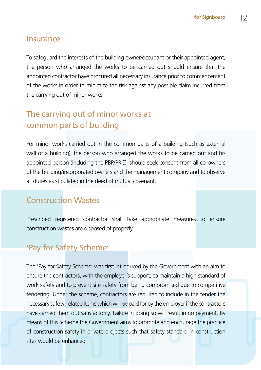#### Insurance

To safeguard the interests of the building owner/occupant or their appointed agent, the person who arranged the works to be carried out should ensure that the appointed contractor have procured all necessary insurance prior to commencement of the works in order to minimize the risk against any possible claim incurred from the carrying out of minor works.

# The carrying out of minor works at common parts of building

For minor works carried out in the common parts of a building (such as external wall of a building), the person who arranged the works to be carried out and his appointed person (including the PBP/PRC), should seek consent from all co-owners of the building/incorporated owners and the management company and to observe all duties as stipulated in the deed of mutual covenant.

# Construction Wastes

Prescribed registered contractor shall take appropriate measures to ensure construction wastes are disposed of properly.

# 'Pay for Safety Scheme'

The 'Pay for Safety Scheme' was first introduced by the Government with an aim to ensure the contractors, with the employer's support, to maintain a high standard of work safety and to prevent site safety from being compromised due to competitive tendering. Under the scheme, contractors are required to include in the tender the necessary safety-related items which will be paid for by the employer if the contractors have carried them out satisfactorily. Failure in doing so will result in no payment. By means of this Scheme the Government aims to promote and encourage the practice of construction safety in private projects such that safety standard in construction sites would be enhanced.